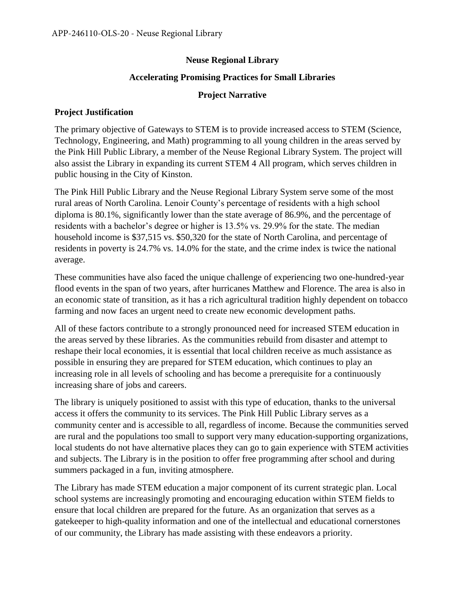# **Neuse Regional Library**

## **Accelerating Promising Practices for Small Libraries**

## **Project Narrative**

#### **Project Justification**

The primary objective of Gateways to STEM is to provide increased access to STEM (Science, Technology, Engineering, and Math) programming to all young children in the areas served by the Pink Hill Public Library, a member of the Neuse Regional Library System. The project will also assist the Library in expanding its current STEM 4 All program, which serves children in public housing in the City of Kinston.

The Pink Hill Public Library and the Neuse Regional Library System serve some of the most rural areas of North Carolina. Lenoir County's percentage of residents with a high school diploma is 80.1%, significantly lower than the state average of 86.9%, and the percentage of residents with a bachelor's degree or higher is 13.5% vs. 29.9% for the state. The median household income is \$37,515 vs. \$50,320 for the state of North Carolina, and percentage of residents in poverty is 24.7% vs. 14.0% for the state, and the crime index is twice the national average.

These communities have also faced the unique challenge of experiencing two one-hundred-year flood events in the span of two years, after hurricanes Matthew and Florence. The area is also in an economic state of transition, as it has a rich agricultural tradition highly dependent on tobacco farming and now faces an urgent need to create new economic development paths.

All of these factors contribute to a strongly pronounced need for increased STEM education in the areas served by these libraries. As the communities rebuild from disaster and attempt to reshape their local economies, it is essential that local children receive as much assistance as possible in ensuring they are prepared for STEM education, which continues to play an increasing role in all levels of schooling and has become a prerequisite for a continuously increasing share of jobs and careers.

The library is uniquely positioned to assist with this type of education, thanks to the universal access it offers the community to its services. The Pink Hill Public Library serves as a community center and is accessible to all, regardless of income. Because the communities served are rural and the populations too small to support very many education-supporting organizations, local students do not have alternative places they can go to gain experience with STEM activities and subjects. The Library is in the position to offer free programming after school and during summers packaged in a fun, inviting atmosphere.

The Library has made STEM education a major component of its current strategic plan. Local school systems are increasingly promoting and encouraging education within STEM fields to ensure that local children are prepared for the future. As an organization that serves as a gatekeeper to high-quality information and one of the intellectual and educational cornerstones of our community, the Library has made assisting with these endeavors a priority.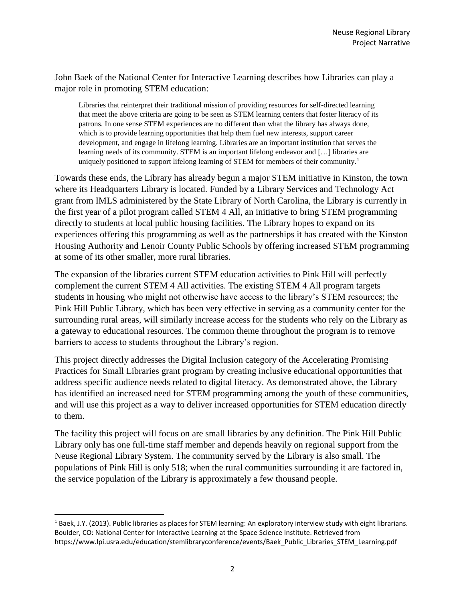John Baek of the National Center for Interactive Learning describes how Libraries can play a major role in promoting STEM education:

Libraries that reinterpret their traditional mission of providing resources for self-directed learning that meet the above criteria are going to be seen as STEM learning centers that foster literacy of its patrons. In one sense STEM experiences are no different than what the library has always done, which is to provide learning opportunities that help them fuel new interests, support career development, and engage in lifelong learning. Libraries are an important institution that serves the learning needs of its community. STEM is an important lifelong endeavor and […] libraries are uniquely positioned to support lifelong learning of STEM for members of their community.<sup>1</sup>

Towards these ends, the Library has already begun a major STEM initiative in Kinston, the town where its Headquarters Library is located. Funded by a Library Services and Technology Act grant from IMLS administered by the State Library of North Carolina, the Library is currently in the first year of a pilot program called STEM 4 All, an initiative to bring STEM programming directly to students at local public housing facilities. The Library hopes to expand on its experiences offering this programming as well as the partnerships it has created with the Kinston Housing Authority and Lenoir County Public Schools by offering increased STEM programming at some of its other smaller, more rural libraries.

The expansion of the libraries current STEM education activities to Pink Hill will perfectly complement the current STEM 4 All activities. The existing STEM 4 All program targets students in housing who might not otherwise have access to the library's STEM resources; the Pink Hill Public Library, which has been very effective in serving as a community center for the surrounding rural areas, will similarly increase access for the students who rely on the Library as a gateway to educational resources. The common theme throughout the program is to remove barriers to access to students throughout the Library's region.

This project directly addresses the Digital Inclusion category of the Accelerating Promising Practices for Small Libraries grant program by creating inclusive educational opportunities that address specific audience needs related to digital literacy. As demonstrated above, the Library has identified an increased need for STEM programming among the youth of these communities, and will use this project as a way to deliver increased opportunities for STEM education directly to them.

The facility this project will focus on are small libraries by any definition. The Pink Hill Public Library only has one full-time staff member and depends heavily on regional support from the Neuse Regional Library System. The community served by the Library is also small. The populations of Pink Hill is only 518; when the rural communities surrounding it are factored in, the service population of the Library is approximately a few thousand people.

 $\overline{\phantom{a}}$ 

 $1$  Baek, J.Y. (2013). Public libraries as places for STEM learning: An exploratory interview study with eight librarians. Boulder, CO: National Center for Interactive Learning at the Space Science Institute. Retrieved from https://www.lpi.usra.edu/education/stemlibraryconference/events/Baek\_Public\_Libraries\_STEM\_Learning.pdf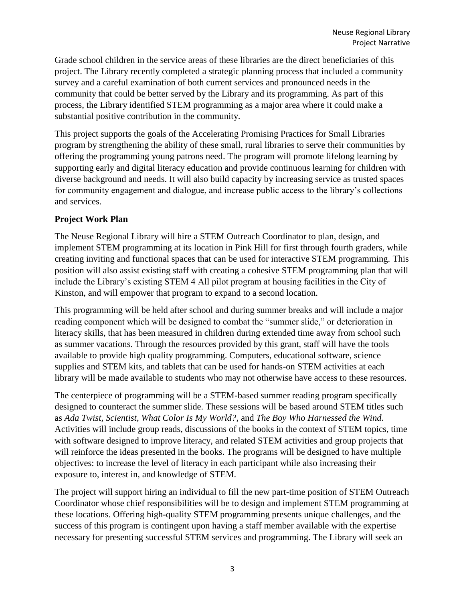Grade school children in the service areas of these libraries are the direct beneficiaries of this project. The Library recently completed a strategic planning process that included a community survey and a careful examination of both current services and pronounced needs in the community that could be better served by the Library and its programming. As part of this process, the Library identified STEM programming as a major area where it could make a substantial positive contribution in the community.

This project supports the goals of the Accelerating Promising Practices for Small Libraries program by strengthening the ability of these small, rural libraries to serve their communities by offering the programming young patrons need. The program will promote lifelong learning by supporting early and digital literacy education and provide continuous learning for children with diverse background and needs. It will also build capacity by increasing service as trusted spaces for community engagement and dialogue, and increase public access to the library's collections and services.

# **Project Work Plan**

The Neuse Regional Library will hire a STEM Outreach Coordinator to plan, design, and implement STEM programming at its location in Pink Hill for first through fourth graders, while creating inviting and functional spaces that can be used for interactive STEM programming. This position will also assist existing staff with creating a cohesive STEM programming plan that will include the Library's existing STEM 4 All pilot program at housing facilities in the City of Kinston, and will empower that program to expand to a second location.

This programming will be held after school and during summer breaks and will include a major reading component which will be designed to combat the "summer slide," or deterioration in literacy skills, that has been measured in children during extended time away from school such as summer vacations. Through the resources provided by this grant, staff will have the tools available to provide high quality programming. Computers, educational software, science supplies and STEM kits, and tablets that can be used for hands-on STEM activities at each library will be made available to students who may not otherwise have access to these resources.

The centerpiece of programming will be a STEM-based summer reading program specifically designed to counteract the summer slide. These sessions will be based around STEM titles such as *Ada Twist, Scientist*, *What Color Is My World?*, and *The Boy Who Harnessed the Wind*. Activities will include group reads, discussions of the books in the context of STEM topics, time with software designed to improve literacy, and related STEM activities and group projects that will reinforce the ideas presented in the books. The programs will be designed to have multiple objectives: to increase the level of literacy in each participant while also increasing their exposure to, interest in, and knowledge of STEM.

The project will support hiring an individual to fill the new part-time position of STEM Outreach Coordinator whose chief responsibilities will be to design and implement STEM programming at these locations. Offering high-quality STEM programming presents unique challenges, and the success of this program is contingent upon having a staff member available with the expertise necessary for presenting successful STEM services and programming. The Library will seek an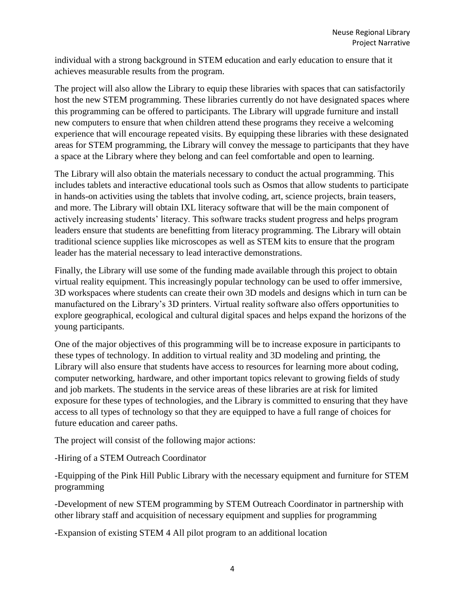individual with a strong background in STEM education and early education to ensure that it achieves measurable results from the program.

The project will also allow the Library to equip these libraries with spaces that can satisfactorily host the new STEM programming. These libraries currently do not have designated spaces where this programming can be offered to participants. The Library will upgrade furniture and install new computers to ensure that when children attend these programs they receive a welcoming experience that will encourage repeated visits. By equipping these libraries with these designated areas for STEM programming, the Library will convey the message to participants that they have a space at the Library where they belong and can feel comfortable and open to learning.

The Library will also obtain the materials necessary to conduct the actual programming. This includes tablets and interactive educational tools such as Osmos that allow students to participate in hands-on activities using the tablets that involve coding, art, science projects, brain teasers, and more. The Library will obtain IXL literacy software that will be the main component of actively increasing students' literacy. This software tracks student progress and helps program leaders ensure that students are benefitting from literacy programming. The Library will obtain traditional science supplies like microscopes as well as STEM kits to ensure that the program leader has the material necessary to lead interactive demonstrations.

Finally, the Library will use some of the funding made available through this project to obtain virtual reality equipment. This increasingly popular technology can be used to offer immersive, 3D workspaces where students can create their own 3D models and designs which in turn can be manufactured on the Library's 3D printers. Virtual reality software also offers opportunities to explore geographical, ecological and cultural digital spaces and helps expand the horizons of the young participants.

One of the major objectives of this programming will be to increase exposure in participants to these types of technology. In addition to virtual reality and 3D modeling and printing, the Library will also ensure that students have access to resources for learning more about coding, computer networking, hardware, and other important topics relevant to growing fields of study and job markets. The students in the service areas of these libraries are at risk for limited exposure for these types of technologies, and the Library is committed to ensuring that they have access to all types of technology so that they are equipped to have a full range of choices for future education and career paths.

The project will consist of the following major actions:

-Hiring of a STEM Outreach Coordinator

-Equipping of the Pink Hill Public Library with the necessary equipment and furniture for STEM programming

-Development of new STEM programming by STEM Outreach Coordinator in partnership with other library staff and acquisition of necessary equipment and supplies for programming

-Expansion of existing STEM 4 All pilot program to an additional location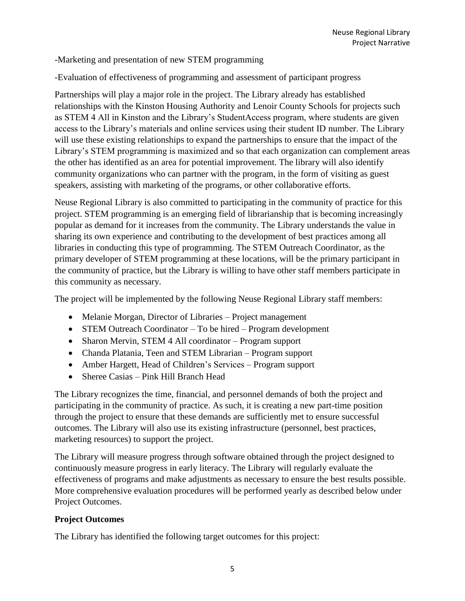## -Marketing and presentation of new STEM programming

-Evaluation of effectiveness of programming and assessment of participant progress

Partnerships will play a major role in the project. The Library already has established relationships with the Kinston Housing Authority and Lenoir County Schools for projects such as STEM 4 All in Kinston and the Library's StudentAccess program, where students are given access to the Library's materials and online services using their student ID number. The Library will use these existing relationships to expand the partnerships to ensure that the impact of the Library's STEM programming is maximized and so that each organization can complement areas the other has identified as an area for potential improvement. The library will also identify community organizations who can partner with the program, in the form of visiting as guest speakers, assisting with marketing of the programs, or other collaborative efforts.

Neuse Regional Library is also committed to participating in the community of practice for this project. STEM programming is an emerging field of librarianship that is becoming increasingly popular as demand for it increases from the community. The Library understands the value in sharing its own experience and contributing to the development of best practices among all libraries in conducting this type of programming. The STEM Outreach Coordinator, as the primary developer of STEM programming at these locations, will be the primary participant in the community of practice, but the Library is willing to have other staff members participate in this community as necessary.

The project will be implemented by the following Neuse Regional Library staff members:

- Melanie Morgan, Director of Libraries Project management
- STEM Outreach Coordinator To be hired Program development
- Sharon Mervin, STEM 4 All coordinator Program support
- Chanda Platania, Teen and STEM Librarian Program support
- Amber Hargett, Head of Children's Services Program support
- Sheree Casias Pink Hill Branch Head

The Library recognizes the time, financial, and personnel demands of both the project and participating in the community of practice. As such, it is creating a new part-time position through the project to ensure that these demands are sufficiently met to ensure successful outcomes. The Library will also use its existing infrastructure (personnel, best practices, marketing resources) to support the project.

The Library will measure progress through software obtained through the project designed to continuously measure progress in early literacy. The Library will regularly evaluate the effectiveness of programs and make adjustments as necessary to ensure the best results possible. More comprehensive evaluation procedures will be performed yearly as described below under Project Outcomes.

# **Project Outcomes**

The Library has identified the following target outcomes for this project: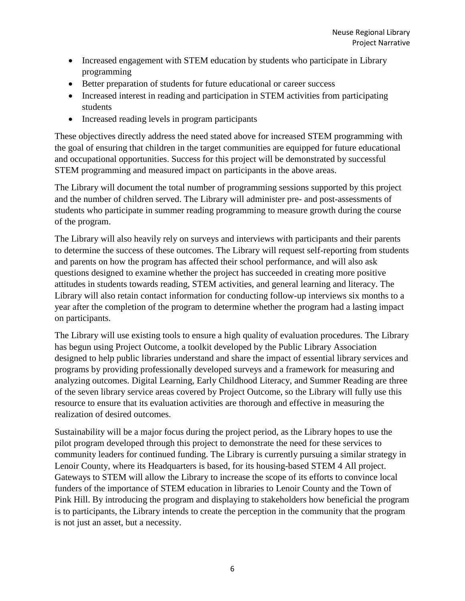- Increased engagement with STEM education by students who participate in Library programming
- Better preparation of students for future educational or career success
- Increased interest in reading and participation in STEM activities from participating students
- Increased reading levels in program participants

These objectives directly address the need stated above for increased STEM programming with the goal of ensuring that children in the target communities are equipped for future educational and occupational opportunities. Success for this project will be demonstrated by successful STEM programming and measured impact on participants in the above areas.

The Library will document the total number of programming sessions supported by this project and the number of children served. The Library will administer pre- and post-assessments of students who participate in summer reading programming to measure growth during the course of the program.

The Library will also heavily rely on surveys and interviews with participants and their parents to determine the success of these outcomes. The Library will request self-reporting from students and parents on how the program has affected their school performance, and will also ask questions designed to examine whether the project has succeeded in creating more positive attitudes in students towards reading, STEM activities, and general learning and literacy. The Library will also retain contact information for conducting follow-up interviews six months to a year after the completion of the program to determine whether the program had a lasting impact on participants.

The Library will use existing tools to ensure a high quality of evaluation procedures. The Library has begun using Project Outcome, a toolkit developed by the Public Library Association designed to help public libraries understand and share the impact of essential library services and programs by providing professionally developed surveys and a framework for measuring and analyzing outcomes. Digital Learning, Early Childhood Literacy, and Summer Reading are three of the seven library service areas covered by Project Outcome, so the Library will fully use this resource to ensure that its evaluation activities are thorough and effective in measuring the realization of desired outcomes.

Sustainability will be a major focus during the project period, as the Library hopes to use the pilot program developed through this project to demonstrate the need for these services to community leaders for continued funding. The Library is currently pursuing a similar strategy in Lenoir County, where its Headquarters is based, for its housing-based STEM 4 All project. Gateways to STEM will allow the Library to increase the scope of its efforts to convince local funders of the importance of STEM education in libraries to Lenoir County and the Town of Pink Hill. By introducing the program and displaying to stakeholders how beneficial the program is to participants, the Library intends to create the perception in the community that the program is not just an asset, but a necessity.